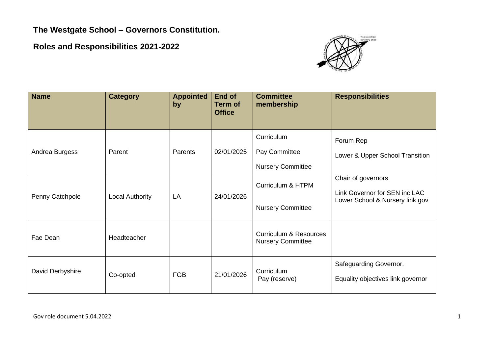**The Westgate School – Governors Constitution.** 

**Roles and Responsibilities 2021-2022**



| <b>Name</b>      | <b>Category</b>        | <b>Appointed</b><br>by | End of<br><b>Term of</b><br><b>Office</b> | <b>Committee</b><br>membership                                | <b>Responsibilities</b>                                                                |
|------------------|------------------------|------------------------|-------------------------------------------|---------------------------------------------------------------|----------------------------------------------------------------------------------------|
| Andrea Burgess   | Parent                 | Parents                | 02/01/2025                                | Curriculum<br>Pay Committee<br><b>Nursery Committee</b>       | Forum Rep<br>Lower & Upper School Transition                                           |
| Penny Catchpole  | <b>Local Authority</b> | LA                     | 24/01/2026                                | Curriculum & HTPM<br><b>Nursery Committee</b>                 | Chair of governors<br>Link Governor for SEN inc LAC<br>Lower School & Nursery link gov |
| Fae Dean         | Headteacher            |                        |                                           | <b>Curriculum &amp; Resources</b><br><b>Nursery Committee</b> |                                                                                        |
| David Derbyshire | Co-opted               | <b>FGB</b>             | 21/01/2026                                | Curriculum<br>Pay (reserve)                                   | Safeguarding Governor.<br>Equality objectives link governor                            |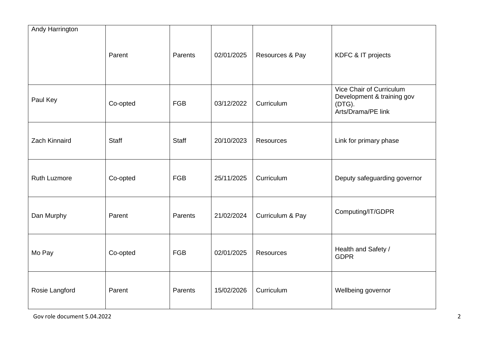| Andy Harrington |              |              |            |                  |                                                                                        |
|-----------------|--------------|--------------|------------|------------------|----------------------------------------------------------------------------------------|
|                 | Parent       | Parents      | 02/01/2025 | Resources & Pay  | KDFC & IT projects                                                                     |
| Paul Key        | Co-opted     | <b>FGB</b>   | 03/12/2022 | Curriculum       | Vice Chair of Curriculum<br>Development & training gov<br>(DTG).<br>Arts/Drama/PE link |
| Zach Kinnaird   | <b>Staff</b> | <b>Staff</b> | 20/10/2023 | <b>Resources</b> | Link for primary phase                                                                 |
| Ruth Luzmore    | Co-opted     | <b>FGB</b>   | 25/11/2025 | Curriculum       | Deputy safeguarding governor                                                           |
| Dan Murphy      | Parent       | Parents      | 21/02/2024 | Curriculum & Pay | Computing/IT/GDPR                                                                      |
| Mo Pay          | Co-opted     | <b>FGB</b>   | 02/01/2025 | <b>Resources</b> | Health and Safety /<br><b>GDPR</b>                                                     |
| Rosie Langford  | Parent       | Parents      | 15/02/2026 | Curriculum       | Wellbeing governor                                                                     |